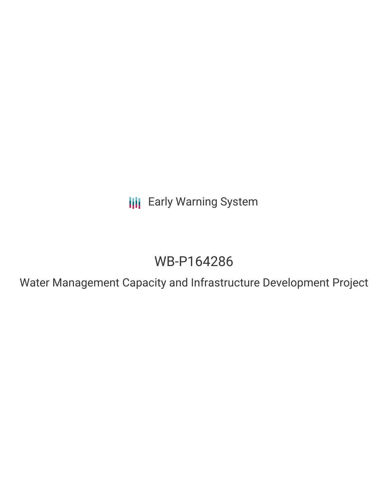**III** Early Warning System

# WB-P164286

Water Management Capacity and Infrastructure Development Project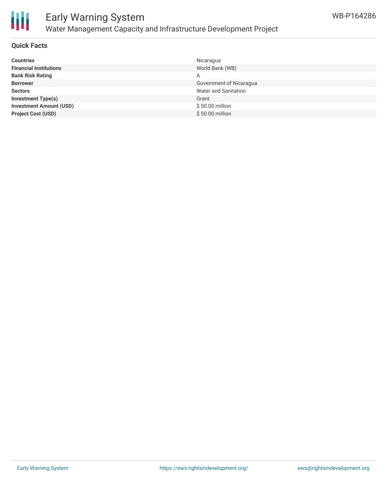

## Early Warning System Water Management Capacity and Infrastructure Development Project

### **Quick Facts**

| <b>Countries</b>               | Nicaragua               |
|--------------------------------|-------------------------|
| <b>Financial Institutions</b>  | World Bank (WB)         |
| <b>Bank Risk Rating</b>        | A                       |
| <b>Borrower</b>                | Government of Nicaragua |
| <b>Sectors</b>                 | Water and Sanitation    |
| <b>Investment Type(s)</b>      | Grant                   |
| <b>Investment Amount (USD)</b> | \$50.00 million         |
| <b>Project Cost (USD)</b>      | \$50.00 million         |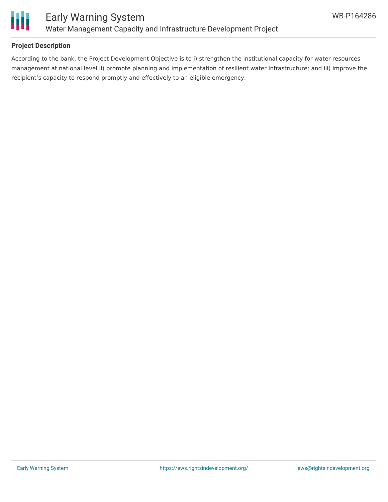

### **Project Description**

According to the bank, the Project Development Objective is to i) strengthen the institutional capacity for water resources management at national level ii) promote planning and implementation of resilient water infrastructure; and iii) improve the recipient's capacity to respond promptly and effectively to an eligible emergency.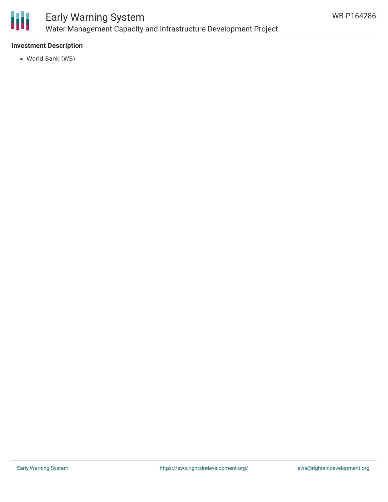

## Early Warning System Water Management Capacity and Infrastructure Development Project

### **Investment Description**

World Bank (WB)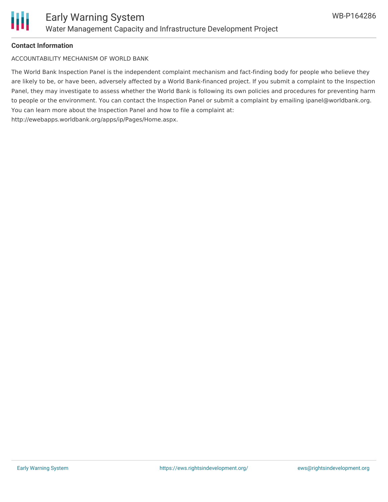

#### **Contact Information**

ACCOUNTABILITY MECHANISM OF WORLD BANK

The World Bank Inspection Panel is the independent complaint mechanism and fact-finding body for people who believe they are likely to be, or have been, adversely affected by a World Bank-financed project. If you submit a complaint to the Inspection Panel, they may investigate to assess whether the World Bank is following its own policies and procedures for preventing harm to people or the environment. You can contact the Inspection Panel or submit a complaint by emailing ipanel@worldbank.org. You can learn more about the Inspection Panel and how to file a complaint at: http://ewebapps.worldbank.org/apps/ip/Pages/Home.aspx.